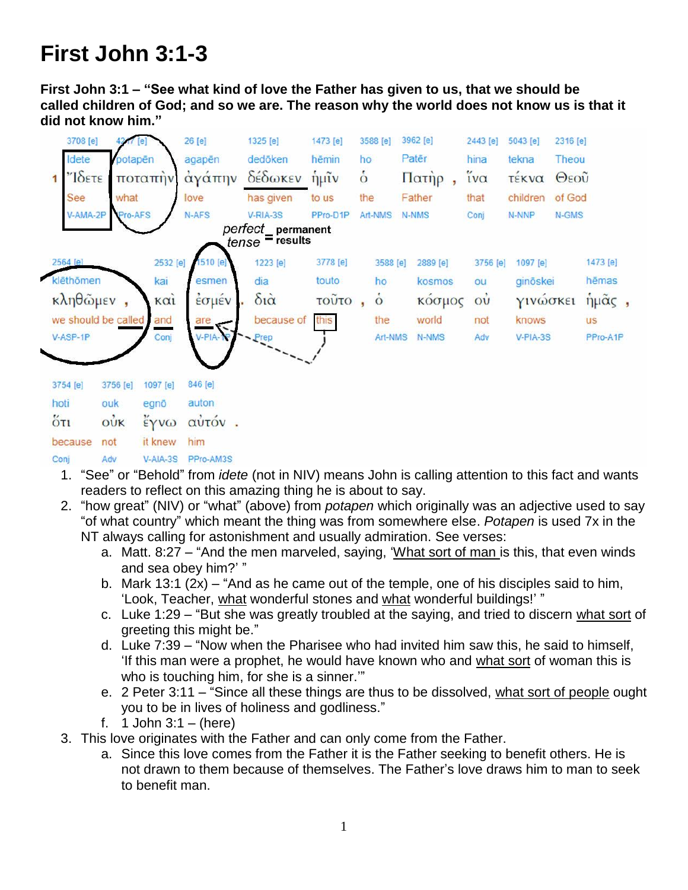## **First John 3:1-3**

**First John 3:1 – "See what kind of love the Father has given to us, that we should be called children of God; and so we are. The reason why the world does not know us is that it did not know him."**

|                     | 3708 [e]                               |                 |          | 26 [e]    | 1325 [e]               | 1473 [e]        |                 | 3588 [e]          | 3962 [e] |          | 2443 [e]       | 5043 [e] | 2316 [e] |           |
|---------------------|----------------------------------------|-----------------|----------|-----------|------------------------|-----------------|-----------------|-------------------|----------|----------|----------------|----------|----------|-----------|
|                     | Idete                                  | potapēn         |          | agapēn    | dedöken                | hēmin           | ho              |                   | Patēr    |          | hina           | tekna    | Theou    |           |
| 1                   | $\gamma$ <sup>-</sup>                  |                 | ποταπήν  | αγάπην    | δέδωκεν                | $\eta$ $\mu$ ĩν | $\dot{\dot{o}}$ |                   |          | Πατήρ    | ΐνα            | τέκνα    | Θεοῦ     |           |
|                     | See                                    | what            |          | love      | has given              | to us           | the             |                   | Father   |          | that           | children | of God   |           |
|                     | V-AMA-2P                               | <b>YPro-AFS</b> |          | N-AFS     | V-RIA-3S               | PPro-D1P        |                 | Art-NMS           | N-NMS    |          | Conj           | N-NNP    | N-GMS    |           |
|                     | perfect_permanent<br>$tense$ = results |                 |          |           |                        |                 |                 |                   |          |          |                |          |          |           |
| 2564 [e]            |                                        |                 | 2532 [e] | 1510 [e]  | 1223 [e]               | 3778 [e]        |                 | 3588 [e]          |          | 2889 [e] | 3756 [e]       | 1097 [e] |          | 1473 [e]  |
|                     | klēthōmen                              |                 | kai      | esmen     | dia                    | touto           |                 | ho                |          | kosmos   | ou             | ginöskei |          | hēmas     |
|                     | κληθώμεν<br>KCl                        |                 |          | έσμέν     | $\delta i\dot{\alpha}$ | τοῦτο           |                 | $\ddot{\text{o}}$ |          | κόσμος   | O <sub>U</sub> | γινώσκει |          | ήμας,     |
| we should be called |                                        |                 | and      | are       | because of             | this            |                 | the               |          | world    | not            | knows    |          | <b>us</b> |
| $V-ASP-1P$          |                                        |                 | Conj     | V-PIA-TP  | - Prep                 |                 |                 | Art-NMS           |          | N-NMS    | Adv            | V-PIA-3S |          | PPro-A1P  |
|                     |                                        |                 |          |           |                        |                 |                 |                   |          |          |                |          |          |           |
| 3754 [e]            |                                        | 3756 [e]        | 1097 [e] | 846 [e]   |                        |                 |                 |                   |          |          |                |          |          |           |
| hoti                |                                        | ouk             | egnō     | auton     |                        |                 |                 |                   |          |          |                |          |          |           |
| $5\tau$             |                                        | $\vec{ow}$      | εγνω     | αὐτόν.    |                        |                 |                 |                   |          |          |                |          |          |           |
|                     | because                                | not             | it knew  | him       |                        |                 |                 |                   |          |          |                |          |          |           |
| Conj                |                                        | Adv             | V-AIA-3S | PPro-AM3S |                        |                 |                 |                   |          |          |                |          |          |           |

- 1. "See" or "Behold" from *idete* (not in NIV) means John is calling attention to this fact and wants readers to reflect on this amazing thing he is about to say.
- 2. "how great" (NIV) or "what" (above) from *potapen* which originally was an adjective used to say "of what country" which meant the thing was from somewhere else. *Potapen* is used 7x in the NT always calling for astonishment and usually admiration. See verses:
	- a. Matt. 8:27 "And the men marveled, saying, 'What sort of man is this, that even winds and sea obey him?' "
	- b. Mark 13:1 (2x) "And as he came out of the temple, one of his disciples said to him, 'Look, Teacher, what wonderful stones and what wonderful buildings!' "
	- c. Luke 1:29 "But she was greatly troubled at the saying, and tried to discern what sort of greeting this might be."
	- d. Luke 7:39 "Now when the Pharisee who had invited him saw this, he said to himself, 'If this man were a prophet, he would have known who and what sort of woman this is who is touching him, for she is a sinner.'"
	- e. 2 Peter 3:11 "Since all these things are thus to be dissolved, what sort of people ought you to be in lives of holiness and godliness."
	- f.  $1$  John 3:1 (here)
- 3. This love originates with the Father and can only come from the Father.
	- a. Since this love comes from the Father it is the Father seeking to benefit others. He is not drawn to them because of themselves. The Father's love draws him to man to seek to benefit man.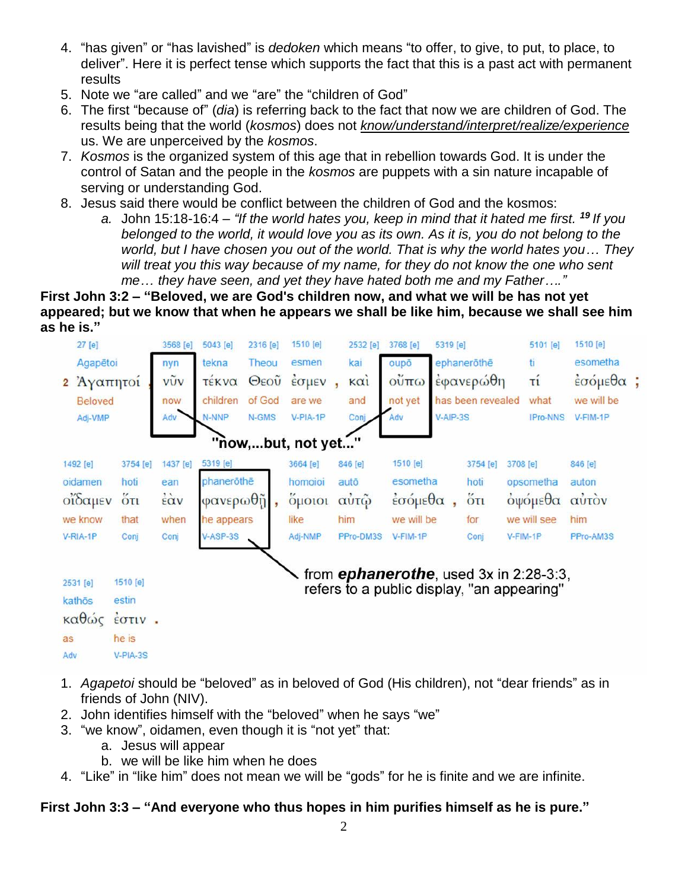- 4. "has given" or "has lavished" is *dedoken* which means "to offer, to give, to put, to place, to deliver". Here it is perfect tense which supports the fact that this is a past act with permanent results
- 5. Note we "are called" and we "are" the "children of God"
- 6. The first "because of" (*dia*) is referring back to the fact that now we are children of God. The results being that the world (*kosmos*) does not *know/understand/interpret/realize/experience* us. We are unperceived by the *kosmos*.
- 7. *Kosmos* is the organized system of this age that in rebellion towards God. It is under the control of Satan and the people in the *kosmos* are puppets with a sin nature incapable of serving or understanding God.
- 8. Jesus said there would be conflict between the children of God and the kosmos:
	- *a.* John 15:18-16:4 *"If the world hates you, keep in mind that it hated me first. <sup>19</sup> If you belonged to the world, it would love you as its own. As it is, you do not belong to the world, but I have chosen you out of the world. That is why the world hates you… They will treat you this way because of my name, for they do not know the one who sent me… they have seen, and yet they have hated both me and my Father…."*

**First John 3:2 – "Beloved, we are God's children now, and what we will be has not yet appeared; but we know that when he appears we shall be like him, because we shall see him as he is."**



- 1. *Agapetoi* should be "beloved" as in beloved of God (His children), not "dear friends" as in friends of John (NIV).
- 2. John identifies himself with the "beloved" when he says "we"
- 3. "we know", oidamen, even though it is "not yet" that:
	- a. Jesus will appear
	- b. we will be like him when he does
- 4. "Like" in "like him" does not mean we will be "gods" for he is finite and we are infinite.

## **First John 3:3 – "And everyone who thus hopes in him purifies himself as he is pure."**